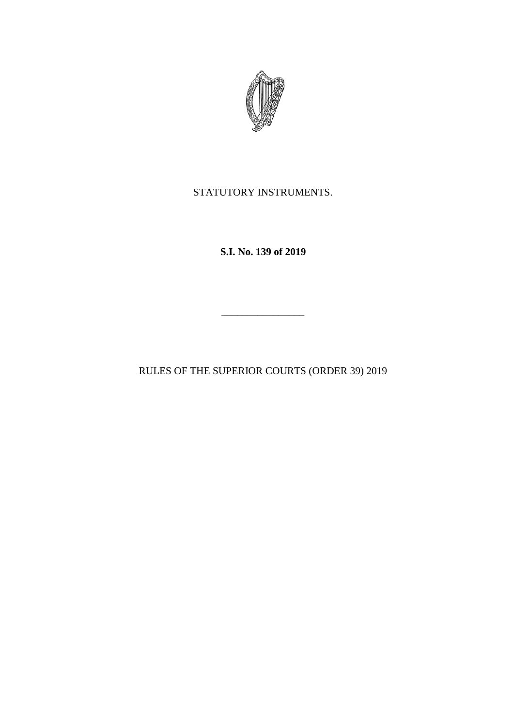

STATUTORY INSTRUMENTS.

**S.I. No. 139 of 2019**

\_\_\_\_\_\_\_\_\_\_\_\_\_\_\_\_

RULES OF THE SUPERIOR COURTS (ORDER 39) 2019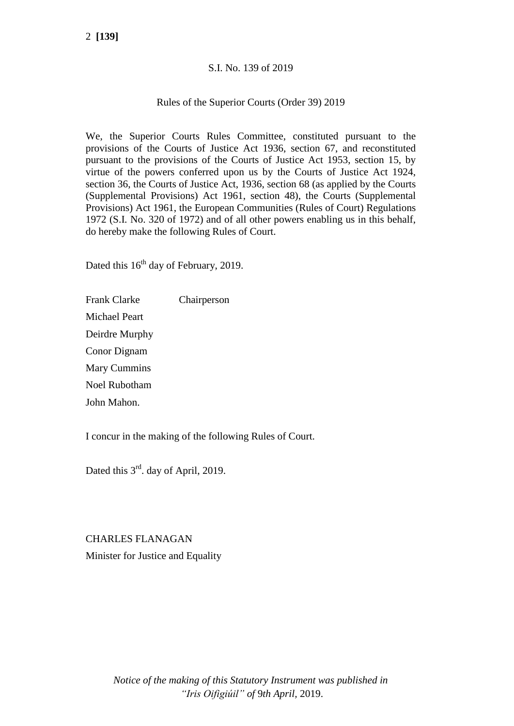## S.I. No. 139 of 2019

## Rules of the Superior Courts (Order 39) 2019

We, the Superior Courts Rules Committee, constituted pursuant to the provisions of the Courts of Justice Act 1936, section 67, and reconstituted pursuant to the provisions of the Courts of Justice Act 1953, section 15, by virtue of the powers conferred upon us by the Courts of Justice Act 1924, section 36, the Courts of Justice Act, 1936, section 68 (as applied by the Courts (Supplemental Provisions) Act 1961, section 48), the Courts (Supplemental Provisions) Act 1961, the European Communities (Rules of Court) Regulations 1972 (S.I. No. 320 of 1972) and of all other powers enabling us in this behalf, do hereby make the following Rules of Court.

Dated this  $16<sup>th</sup>$  day of February, 2019.

Frank Clarke Chairperson Michael Peart Deirdre Murphy Conor Dignam Mary Cummins Noel Rubotham John Mahon.

I concur in the making of the following Rules of Court.

Dated this  $3<sup>rd</sup>$ . day of April, 2019.

CHARLES FLANAGAN Minister for Justice and Equality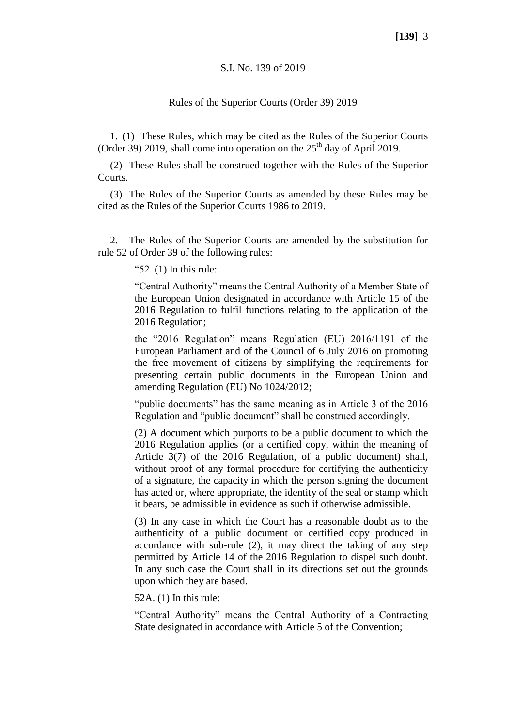#### S.I. No. 139 of 2019

#### Rules of the Superior Courts (Order 39) 2019

1. (1) These Rules, which may be cited as the Rules of the Superior Courts (Order 39) 2019, shall come into operation on the  $25<sup>th</sup>$  day of April 2019.

(2) These Rules shall be construed together with the Rules of the Superior **Courts**.

(3) The Rules of the Superior Courts as amended by these Rules may be cited as the Rules of the Superior Courts 1986 to 2019.

2. The Rules of the Superior Courts are amended by the substitution for rule 52 of Order 39 of the following rules:

"52. (1) In this rule:

"Central Authority" means the Central Authority of a Member State of the European Union designated in accordance with Article 15 of the 2016 Regulation to fulfil functions relating to the application of the 2016 Regulation;

the "2016 Regulation" means Regulation (EU) 2016/1191 of the European Parliament and of the Council of 6 July 2016 on promoting the free movement of citizens by simplifying the requirements for presenting certain public documents in the European Union and amending Regulation (EU) No 1024/2012;

"public documents" has the same meaning as in Article 3 of the 2016 Regulation and "public document" shall be construed accordingly.

(2) A document which purports to be a public document to which the 2016 Regulation applies (or a certified copy, within the meaning of Article 3(7) of the 2016 Regulation, of a public document) shall, without proof of any formal procedure for certifying the authenticity of a signature, the capacity in which the person signing the document has acted or, where appropriate, the identity of the seal or stamp which it bears, be admissible in evidence as such if otherwise admissible.

(3) In any case in which the Court has a reasonable doubt as to the authenticity of a public document or certified copy produced in accordance with sub-rule (2), it may direct the taking of any step permitted by Article 14 of the 2016 Regulation to dispel such doubt. In any such case the Court shall in its directions set out the grounds upon which they are based.

52A. (1) In this rule:

"Central Authority" means the Central Authority of a Contracting State designated in accordance with Article 5 of the Convention;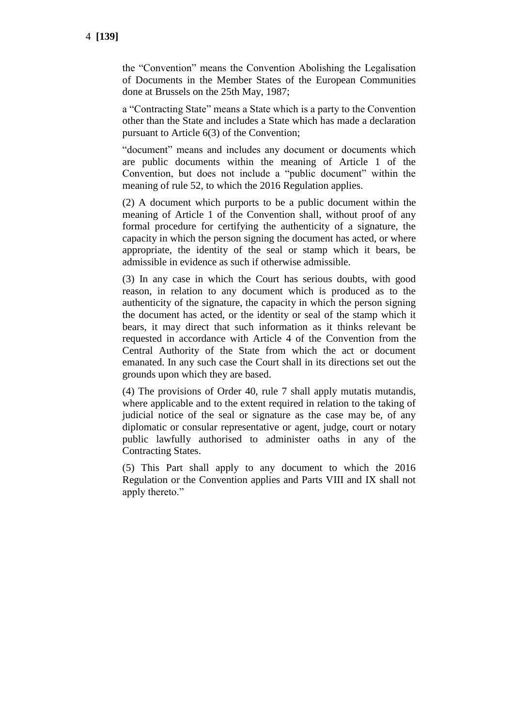the "Convention" means the Convention Abolishing the Legalisation of Documents in the Member States of the European Communities done at Brussels on the 25th May, 1987;

a "Contracting State" means a State which is a party to the Convention other than the State and includes a State which has made a declaration pursuant to Article 6(3) of the Convention;

"document" means and includes any document or documents which are public documents within the meaning of Article 1 of the Convention, but does not include a "public document" within the meaning of rule 52, to which the 2016 Regulation applies.

(2) A document which purports to be a public document within the meaning of Article 1 of the Convention shall, without proof of any formal procedure for certifying the authenticity of a signature, the capacity in which the person signing the document has acted, or where appropriate, the identity of the seal or stamp which it bears, be admissible in evidence as such if otherwise admissible.

(3) In any case in which the Court has serious doubts, with good reason, in relation to any document which is produced as to the authenticity of the signature, the capacity in which the person signing the document has acted, or the identity or seal of the stamp which it bears, it may direct that such information as it thinks relevant be requested in accordance with Article 4 of the Convention from the Central Authority of the State from which the act or document emanated. In any such case the Court shall in its directions set out the grounds upon which they are based.

(4) The provisions of Order 40, rule 7 shall apply mutatis mutandis, where applicable and to the extent required in relation to the taking of judicial notice of the seal or signature as the case may be, of any diplomatic or consular representative or agent, judge, court or notary public lawfully authorised to administer oaths in any of the Contracting States.

(5) This Part shall apply to any document to which the 2016 Regulation or the Convention applies and Parts VIII and IX shall not apply thereto."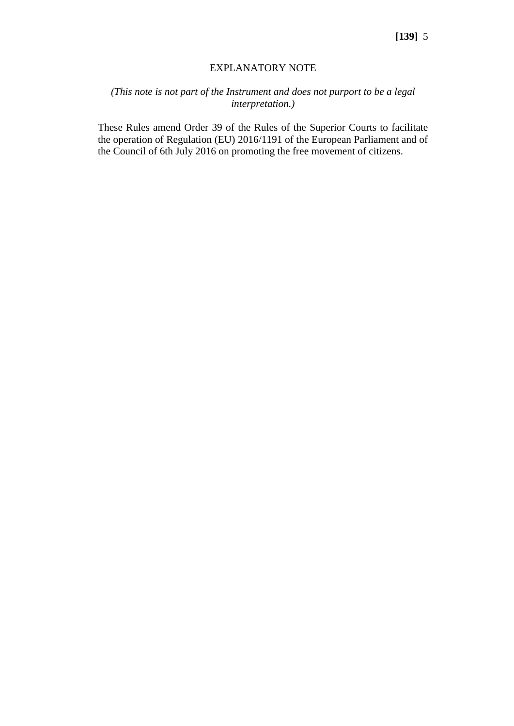### EXPLANATORY NOTE

# *(This note is not part of the Instrument and does not purport to be a legal interpretation.)*

These Rules amend Order 39 of the Rules of the Superior Courts to facilitate the operation of Regulation (EU) 2016/1191 of the European Parliament and of the Council of 6th July 2016 on promoting the free movement of citizens.